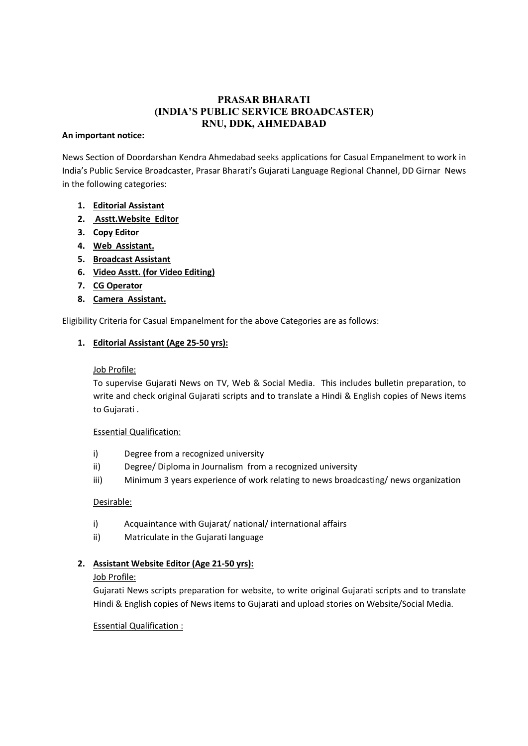# PRASAR BHARATI (INDIA'S PUBLIC SERVICE BROADCASTER) RNU, DDK, AHMEDABAD

#### An important notice:

News Section of Doordarshan Kendra Ahmedabad seeks applications for Casual Empanelment to work in India's Public Service Broadcaster, Prasar Bharati's Gujarati Language Regional Channel, DD Girnar News in the following categories:

## 1. Editorial Assistant

- 2. Asstt.Website Editor
- 3. Copy Editor
- 4. Web Assistant.
- 5. Broadcast Assistant
- 6. Video Asstt. (for Video Editing)
- 7. CG Operator
- 8. Camera Assistant.

Eligibility Criteria for Casual Empanelment for the above Categories are as follows:

## 1. Editorial Assistant (Age 25-50 yrs):

## Job Profile:

To supervise Gujarati News on TV, Web & Social Media. This includes bulletin preparation, to write and check original Gujarati scripts and to translate a Hindi & English copies of News items to Gujarati .

#### Essential Qualification:

- i) Degree from a recognized university
- ii) Degree/ Diploma in Journalism from a recognized university
- iii) Minimum 3 years experience of work relating to news broadcasting/ news organization

#### Desirable:

- i) Acquaintance with Gujarat/ national/ international affairs
- ii) Matriculate in the Gujarati language

## 2. Assistant Website Editor (Age 21-50 yrs):

#### Job Profile:

Gujarati News scripts preparation for website, to write original Gujarati scripts and to translate Hindi & English copies of News items to Gujarati and upload stories on Website/Social Media.

## Essential Qualification :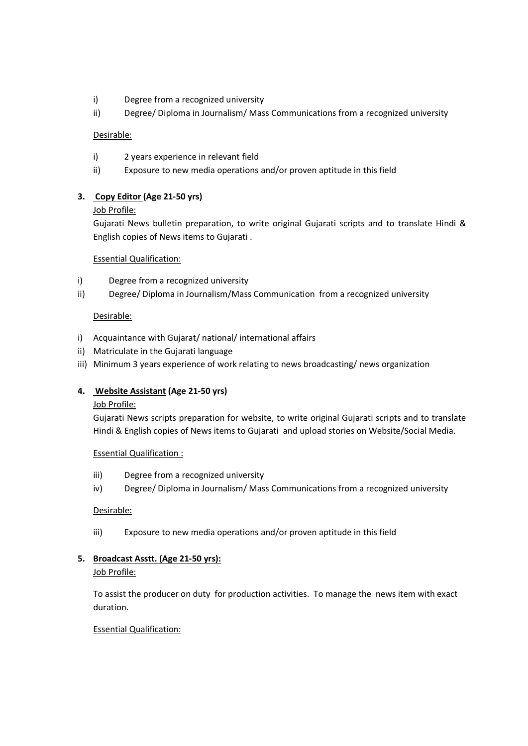- i) Degree from a recognized university
- ii) Degree/ Diploma in Journalism/ Mass Communications from a recognized university

#### Desirable:

- i) 2 years experience in relevant field
- ii) Exposure to new media operations and/or proven aptitude in this field

## 3. Copy Editor (Age 21-50 yrs)

## Job Profile:

Gujarati News bulletin preparation, to write original Gujarati scripts and to translate Hindi & English copies of News items to Gujarati .

#### Essential Qualification:

- i) Degree from a recognized university
- ii) Degree/ Diploma in Journalism/Mass Communication from a recognized university

## Desirable:

- i) Acquaintance with Gujarat/ national/ international affairs
- ii) Matriculate in the Gujarati language
- iii) Minimum 3 years experience of work relating to news broadcasting/ news organization

## 4. Website Assistant (Age 21-50 yrs)

#### Job Profile:

Gujarati News scripts preparation for website, to write original Gujarati scripts and to translate Hindi & English copies of News items to Gujarati and upload stories on Website/Social Media.

#### Essential Qualification :

- iii) Degree from a recognized university
- iv) Degree/ Diploma in Journalism/ Mass Communications from a recognized university

## Desirable:

iii) Exposure to new media operations and/or proven aptitude in this field

## 5. Broadcast Asstt. (Age 21-50 yrs):

#### Job Profile:

To assist the producer on duty for production activities. To manage the news item with exact duration.

#### Essential Qualification: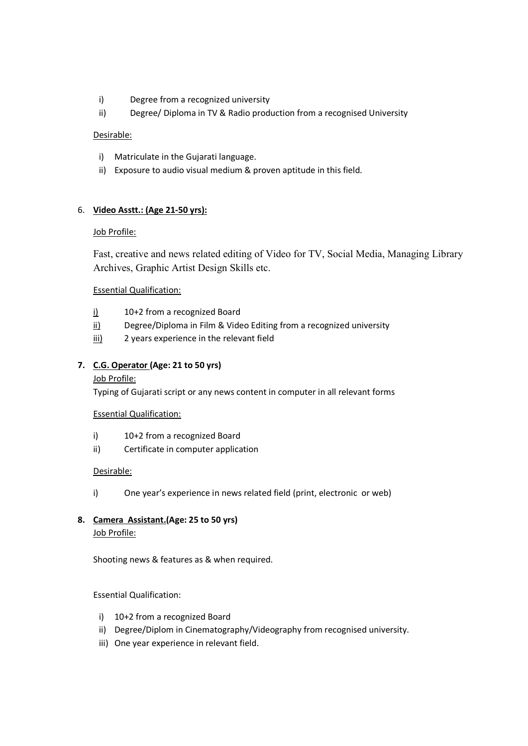- i) Degree from a recognized university
- ii) Degree/ Diploma in TV & Radio production from a recognised University

#### Desirable:

- i) Matriculate in the Gujarati language.
- ii) Exposure to audio visual medium & proven aptitude in this field.

## 6. Video Asstt.: (Age 21-50 yrs):

#### Job Profile:

Fast, creative and news related editing of Video for TV, Social Media, Managing Library Archives, Graphic Artist Design Skills etc.

## Essential Qualification:

- i) 10+2 from a recognized Board
- ii) Degree/Diploma in Film & Video Editing from a recognized university
- iii) 2 years experience in the relevant field

## 7. C.G. Operator (Age: 21 to 50 yrs)

#### Job Profile:

Typing of Gujarati script or any news content in computer in all relevant forms

#### Essential Qualification:

- i) 10+2 from a recognized Board
- ii) Certificate in computer application

#### Desirable:

i) One year's experience in news related field (print, electronic or web)

## 8. Camera Assistant.(Age: 25 to 50 yrs) Job Profile:

Shooting news & features as & when required.

#### Essential Qualification:

- i) 10+2 from a recognized Board
- ii) Degree/Diplom in Cinematography/Videography from recognised university.
- iii) One year experience in relevant field.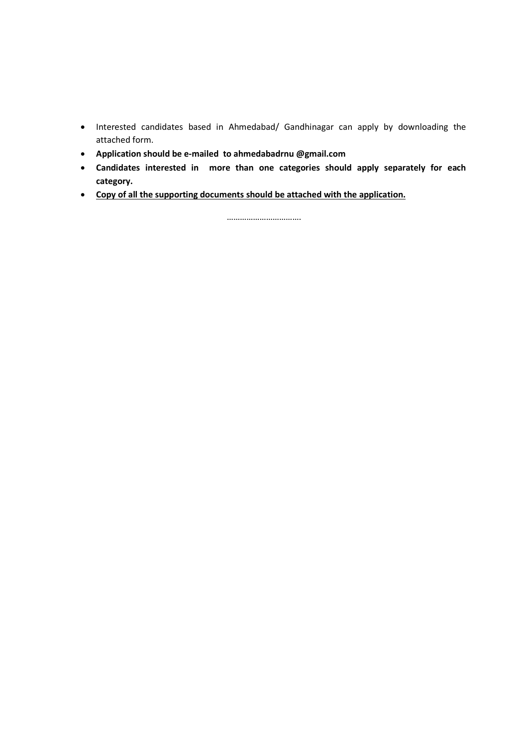- Interested candidates based in Ahmedabad/ Gandhinagar can apply by downloading the attached form.
- Application should be e-mailed to ahmedabadrnu @gmail.com
- Candidates interested in more than one categories should apply separately for each category.
- Copy of all the supporting documents should be attached with the application.

…………………………….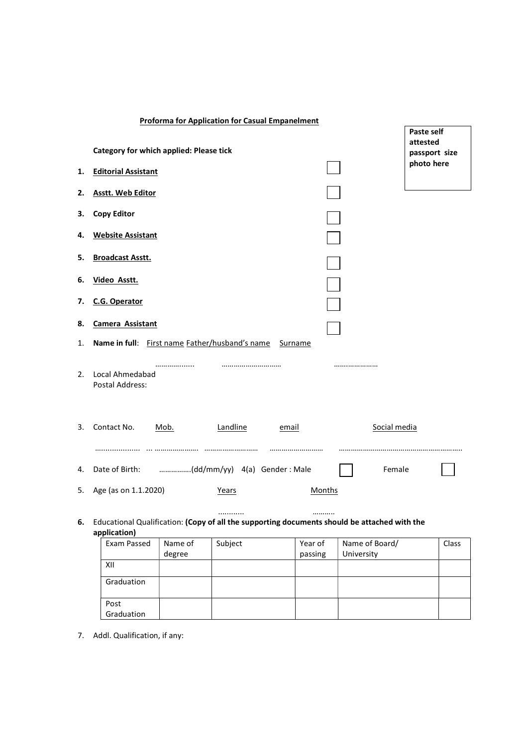|    | <b>Proforma for Application for Casual Empanelment</b>                                                       |      |                 |           |        |              | Paste self                |
|----|--------------------------------------------------------------------------------------------------------------|------|-----------------|-----------|--------|--------------|---------------------------|
|    | <b>Category for which applied: Please tick</b>                                                               |      |                 |           |        |              | attested<br>passport size |
| 1. | <b>Editorial Assistant</b>                                                                                   |      |                 |           |        |              | photo here                |
| 2. | <b>Asstt. Web Editor</b>                                                                                     |      |                 |           |        |              |                           |
| З. | <b>Copy Editor</b>                                                                                           |      |                 |           |        |              |                           |
| 4. | <b>Website Assistant</b>                                                                                     |      |                 |           |        |              |                           |
| 5. | <b>Broadcast Asstt.</b>                                                                                      |      |                 |           |        |              |                           |
| 6. | Video Asstt.                                                                                                 |      |                 |           |        |              |                           |
| 7. | <b>C.G. Operator</b>                                                                                         |      |                 |           |        |              |                           |
| 8. | Camera Assistant                                                                                             |      |                 |           |        |              |                           |
| 1. | Name in full: First name Father/husband's name                                                               |      |                 | Surname   |        |              |                           |
| 2. | Local Ahmedabad<br><b>Postal Address:</b>                                                                    |      |                 |           |        |              |                           |
| 3. | Contact No.                                                                                                  | Mob. | <u>Landline</u> | email<br> |        | Social media |                           |
| 4. |                                                                                                              |      |                 |           |        | Female       |                           |
| 5. | Age (as on 1.1.2020)                                                                                         |      | Years           |           | Months |              |                           |
| 6. | Educational Qualification: (Copy of all the supporting documents should be attached with the<br>application) |      | .               |           |        |              |                           |

| Exam Passed        | Name of | Subject | Year of | Name of Board/ | Class |
|--------------------|---------|---------|---------|----------------|-------|
|                    | degree  |         | passing | University     |       |
| XII                |         |         |         |                |       |
| Graduation         |         |         |         |                |       |
| Post<br>Graduation |         |         |         |                |       |

7. Addl. Qualification, if any: